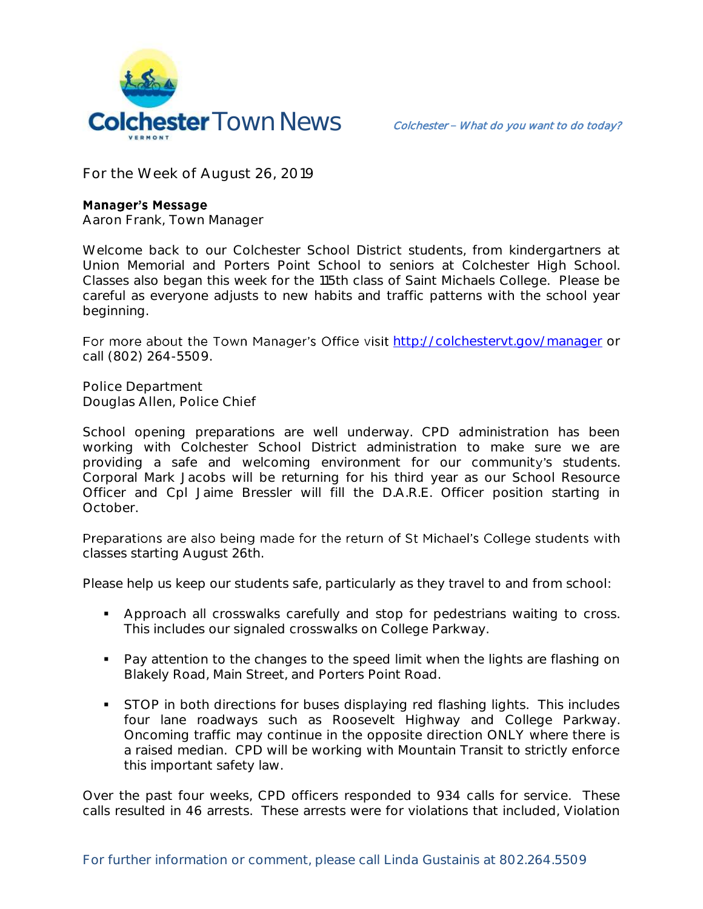

**For the Week of August 26, 2019**

## **Manager's Message**

**Aaron Frank, Town Manager**

Welcome back to our Colchester School District students, from kindergartners at Union Memorial and Porters Point School to seniors at Colchester High School. Classes also began this week for the 115th class of Saint Michaels College. Please be careful as everyone adjusts to new habits and traffic patterns with the school year beginning.

For more about the Town Manager's Office visit http://colchesteryt.gov/manager or call (802) 264-5509.

**Police Department Douglas Allen, Police Chief** 

School opening preparations are well underway. CPD administration has been working with Colchester School District administration to make sure we are providing a safe and welcoming environment for our community's students. Corporal Mark Jacobs will be returning for his third year as our School Resource Officer and Cpl Jaime Bressler will fill the D.A.R.E. Officer position starting in October.

Preparations are also being made for the return of St Michael's College students with classes starting August 26th.

Please help us keep our students safe, particularly as they travel to and from school:

- Approach all crosswalks carefully and stop for pedestrians waiting to cross. This includes our signaled crosswalks on College Parkway.
- Pay attention to the changes to the speed limit when the lights are flashing on Blakely Road, Main Street, and Porters Point Road.
- STOP in both directions for buses displaying red flashing lights. This includes four lane roadways such as Roosevelt Highway and College Parkway. Oncoming traffic may continue in the opposite direction ONLY where there is a raised median. CPD will be working with Mountain Transit to strictly enforce this important safety law.

Over the past four weeks, CPD officers responded to 934 calls for service. These calls resulted in 46 arrests. These arrests were for violations that included, Violation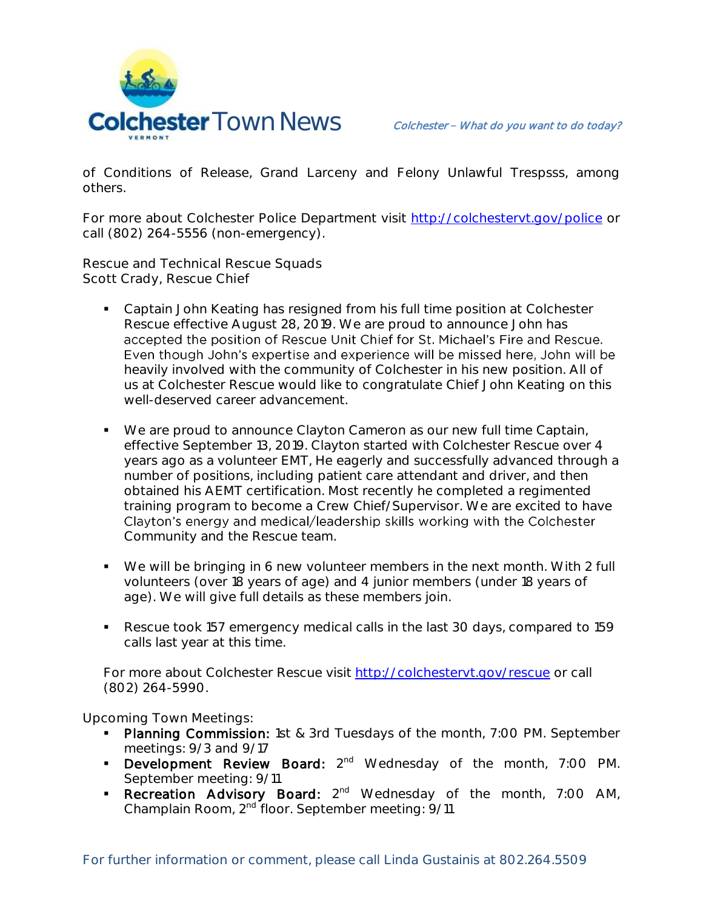

of Conditions of Release, Grand Larceny and Felony Unlawful Trespsss, among others.

For more about Colchester Police Department visit<http://colchestervt.gov/police> or call (802) 264-5556 (non-emergency).

**Rescue and Technical Rescue Squads Scott Crady, Rescue Chief**

- Captain John Keating has resigned from his full time position at Colchester Rescue effective August 28, 2019. We are proud to announce John has accepted the position of Rescue Unit Chief for St. Michael's Fire and Rescue. Even though John's expertise and experience will be missed here, John will be heavily involved with the community of Colchester in his new position. All of us at Colchester Rescue would like to congratulate Chief John Keating on this well-deserved career advancement.
- We are proud to announce Clayton Cameron as our new full time Captain, effective September 13, 2019. Clayton started with Colchester Rescue over 4 years ago as a volunteer EMT, He eagerly and successfully advanced through a number of positions, including patient care attendant and driver, and then obtained his AEMT certification. Most recently he completed a regimented training program to become a Crew Chief/Supervisor. We are excited to have Clayton's energy and medical/leadership skills working with the Colchester Community and the Rescue team.
- We will be bringing in 6 new volunteer members in the next month. With 2 full volunteers (over 18 years of age) and 4 junior members (under 18 years of age). We will give full details as these members join.
- Rescue took 157 emergency medical calls in the last 30 days, compared to 159 calls last year at this time.

For more about Colchester Rescue visit [http://colchestervt.gov/rescue](http://colchestervt.gov/rescue/index.shtml) or call (802) 264-5990.

**Upcoming Town Meetings:** 

- Planning Commission: 1st & 3rd Tuesdays of the month, 7:00 PM. September meetings: 9/3 and 9/17
- **Development Review Board:** 2<sup>nd</sup> Wednesday of the month, 7:00 PM. September meeting: 9/11
- **Recreation Advisory Board:**  $2^{nd}$  Wednesday of the month, 7:00 AM, Champlain Room, 2nd floor. September meeting: 9/11